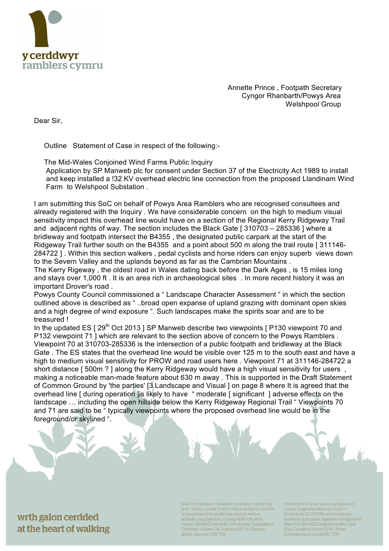

 Annette Prince , Footpath Secretary Cyngor Rhanbarth/Powys Area Welshpool Group

Dear Sir,

Outline Statement of Case in respect of the following:-

 The Mid-Wales Conjoined Wind Farms Public Inquiry Application by SP Manweb plc for consent under Section 37 of the Electricity Act 1989 to install and keep installed a !32 KV overhead electric line connection from the proposed Llandinam Wind Farm to Welshpool Substation .

I am submitting this SoC on behalf of Powys Area Ramblers who are recognised consultees and already registered with the Inquiry . We have considerable concern on the high to medium visual sensitivity impact this overhead line would have on a section of the Regional Kerry Ridgeway Trail and adjacent rights of way. The section includes the Black Gate [ 310703 – 285336 ] where a bridleway and footpath intersect the B4355 , the designated public carpark at the start of the Ridgeway Trail further south on the B4355 and a point about 500 m along the trail route [ 311146- 284722 ] . Within this section walkers , pedal cyclists and horse riders can enjoy superb views down to the Severn Valley and the uplands beyond as far as the Cambrian Mountains .

The Kerry Rigeway , the oldest road in Wales dating back before the Dark Ages , is 15 miles long and stays over 1,000 ft . It is an area rich in archaeological sites . In more recent history it was an important Drover's road .

Powys County Council commissioned a " Landscape Character Assessment " in which the section outlined above is described as " ..broad open expanse of upland grazing with dominant open skies and a high degree of wind exposure ". Such landscapes make the spirits soar and are to be treasured !

In the updated ES  $[29<sup>th</sup> Oct 2013]$  SP Manweb describe two viewpoints  $[P130$  viewpoint 70 and P132 viewpoint 71 ] which are relevant to the section above of concern to the Powys Ramblers . Viewpoint 70 at 310703-285336 is the intersection of a public footpath and bridleway at the Black Gate . The ES states that the overhead line would be visible over 125 m to the south east and have a high to medium visual sensitivity for PROW and road users here . Viewpoint 71 at 311146-284722 a short distance [ 500m ? ] along the Kerry Ridgeway would have a high visual sensitivity for users, making a noticeable man-made feature about 630 m away . This is supported in the Draft Statement of Common Ground by 'the parties' [3.Landscape and Visual ] on page 8 where It is agreed that the overhead line [ during operation ]is likely to have " moderate [ significant ] adverse effects on the landscape … including the open hillside below the Kerry Ridgeway Regional Trail " Viewpoints 70 and 71 are said to be " typically viewpoints where the proposed overhead line would be in the foreground/or skylined ".

wrth galon cerdded at the heart of walking Mae Cymdeithas y Cerddwyr yn elusen cofrestredig, (rhif Cymru a Lloegr: 1093577, rhif yr Alban SC039799) ac yn gwmni cyfyngedig trwy warant, wedi ei gofrestru yng Nghymru a Lloegr (rhif cofrestru'r cwmni 4458492). Swyddfa Cofrestredig Cymdeithas y Cerddwyr: Ail lawr, Tŷ Camelford, 87-90 Glannau Albert, Llundain, SEI 7TW.

The Ramblers' Association is a registered charity (England & Wales no 1093577 Scotland no SC039799) and a company limited by guarantee, registered in England &<br>Wales (no 4458492). Registered office. 2nd<br>floor, Camelford House, 87-90 Albert Embankment, London SE17TW.